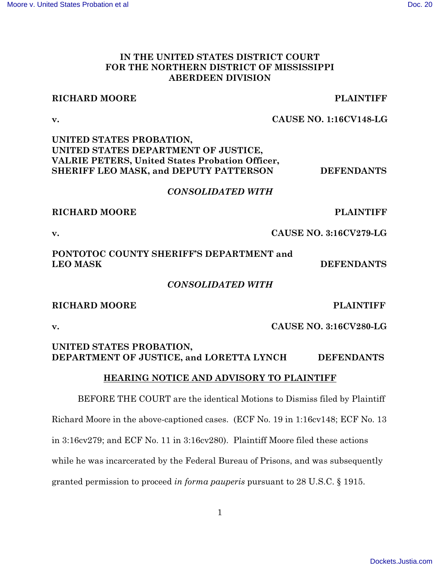### **IN THE UNITED STATES DISTRICT COURT FOR THE NORTHERN DISTRICT OF MISSISSIPPI ABERDEEN DIVISION**

### **RICHARD MOORE PLAINTIFF**

### **v. CAUSE NO. 1:16CV148-LG**

### **UNITED STATES PROBATION, UNITED STATES DEPARTMENT OF JUSTICE, VALRIE PETERS, United States Probation Officer, SHERIFF LEO MASK, and DEPUTY PATTERSON DEFENDANTS**

### *CONSOLIDATED WITH*

### **RICHARD MOORE PLAINTIFF**

**v. CAUSE NO. 3:16CV279-LG**

# **PONTOTOC COUNTY SHERIFF'S DEPARTMENT and LEO MASK DEFENDANTS**

### *CONSOLIDATED WITH*

# **RICHARD MOORE PLAINTIFF**

**v. CAUSE NO. 3:16CV280-LG**

### **UNITED STATES PROBATION, DEPARTMENT OF JUSTICE, and LORETTA LYNCH DEFENDANTS**

# **HEARING NOTICE AND ADVISORY TO PLAINTIFF**

BEFORE THE COURT are the identical Motions to Dismiss filed by Plaintiff Richard Moore in the above-captioned cases. (ECF No. 19 in 1:16cv148; ECF No. 13 in 3:16cv279; and ECF No. 11 in 3:16cv280). Plaintiff Moore filed these actions while he was incarcerated by the Federal Bureau of Prisons, and was subsequently granted permission to proceed *in forma pauperis* pursuant to 28 U.S.C. § 1915.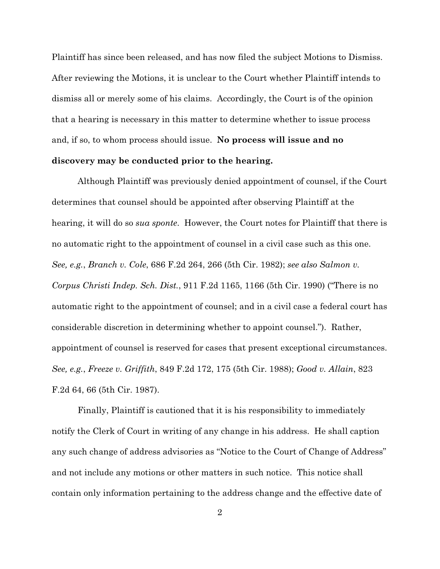Plaintiff has since been released, and has now filed the subject Motions to Dismiss. After reviewing the Motions, it is unclear to the Court whether Plaintiff intends to dismiss all or merely some of his claims. Accordingly, the Court is of the opinion that a hearing is necessary in this matter to determine whether to issue process and, if so, to whom process should issue. **No process will issue and no discovery may be conducted prior to the hearing.** 

Although Plaintiff was previously denied appointment of counsel, if the Court determines that counsel should be appointed after observing Plaintiff at the hearing, it will do so *sua sponte*. However, the Court notes for Plaintiff that there is no automatic right to the appointment of counsel in a civil case such as this one. *See, e.g.*, *Branch v. Cole*, 686 F.2d 264, 266 (5th Cir. 1982); *see also Salmon v. Corpus Christi Indep. Sch. Dist.*, 911 F.2d 1165, 1166 (5th Cir. 1990) ("There is no automatic right to the appointment of counsel; and in a civil case a federal court has considerable discretion in determining whether to appoint counsel."). Rather, appointment of counsel is reserved for cases that present exceptional circumstances. *See, e.g.*, *Freeze v. Griffith*, 849 F.2d 172, 175 (5th Cir. 1988); *Good v. Allain*, 823 F.2d 64, 66 (5th Cir. 1987).

Finally, Plaintiff is cautioned that it is his responsibility to immediately notify the Clerk of Court in writing of any change in his address. He shall caption any such change of address advisories as "Notice to the Court of Change of Address" and not include any motions or other matters in such notice. This notice shall contain only information pertaining to the address change and the effective date of